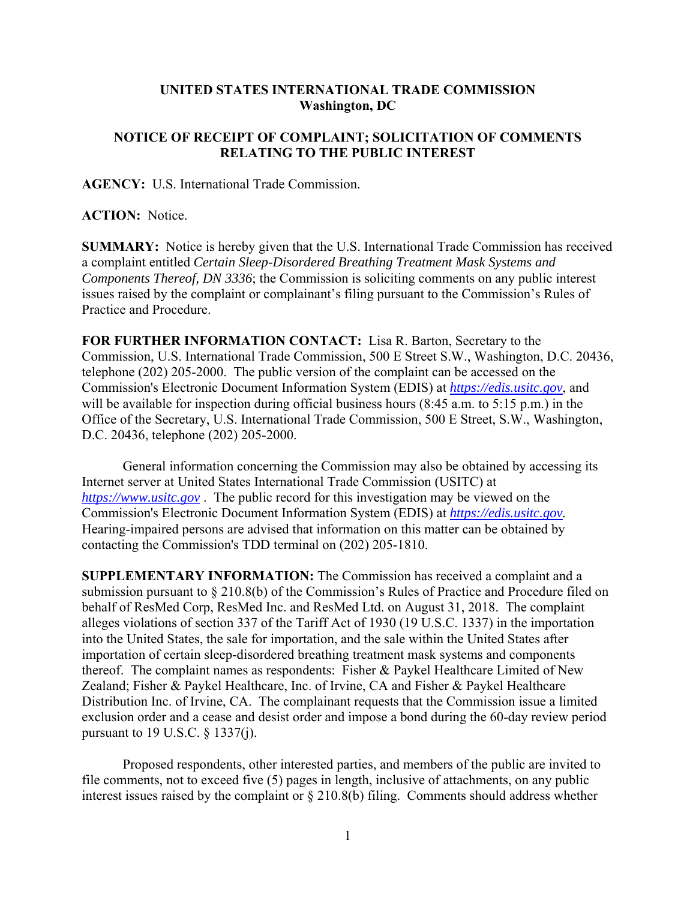## **UNITED STATES INTERNATIONAL TRADE COMMISSION Washington, DC**

## **NOTICE OF RECEIPT OF COMPLAINT; SOLICITATION OF COMMENTS RELATING TO THE PUBLIC INTEREST**

**AGENCY:** U.S. International Trade Commission.

**ACTION:** Notice.

**SUMMARY:** Notice is hereby given that the U.S. International Trade Commission has received a complaint entitled *Certain Sleep-Disordered Breathing Treatment Mask Systems and Components Thereof, DN 3336*; the Commission is soliciting comments on any public interest issues raised by the complaint or complainant's filing pursuant to the Commission's Rules of Practice and Procedure.

**FOR FURTHER INFORMATION CONTACT:** Lisa R. Barton, Secretary to the Commission, U.S. International Trade Commission, 500 E Street S.W., Washington, D.C. 20436, telephone (202) 205-2000. The public version of the complaint can be accessed on the Commission's Electronic Document Information System (EDIS) at *https://edis.usitc.gov*, and will be available for inspection during official business hours (8:45 a.m. to 5:15 p.m.) in the Office of the Secretary, U.S. International Trade Commission, 500 E Street, S.W., Washington, D.C. 20436, telephone (202) 205-2000.

General information concerning the Commission may also be obtained by accessing its Internet server at United States International Trade Commission (USITC) at *https://www.usitc.gov* . The public record for this investigation may be viewed on the Commission's Electronic Document Information System (EDIS) at *https://edis.usitc.gov.* Hearing-impaired persons are advised that information on this matter can be obtained by contacting the Commission's TDD terminal on (202) 205-1810.

**SUPPLEMENTARY INFORMATION:** The Commission has received a complaint and a submission pursuant to § 210.8(b) of the Commission's Rules of Practice and Procedure filed on behalf of ResMed Corp, ResMed Inc. and ResMed Ltd. on August 31, 2018. The complaint alleges violations of section 337 of the Tariff Act of 1930 (19 U.S.C. 1337) in the importation into the United States, the sale for importation, and the sale within the United States after importation of certain sleep-disordered breathing treatment mask systems and components thereof. The complaint names as respondents: Fisher & Paykel Healthcare Limited of New Zealand; Fisher & Paykel Healthcare, Inc. of Irvine, CA and Fisher & Paykel Healthcare Distribution Inc. of Irvine, CA. The complainant requests that the Commission issue a limited exclusion order and a cease and desist order and impose a bond during the 60-day review period pursuant to 19 U.S.C. § 1337(j).

Proposed respondents, other interested parties, and members of the public are invited to file comments, not to exceed five (5) pages in length, inclusive of attachments, on any public interest issues raised by the complaint or § 210.8(b) filing. Comments should address whether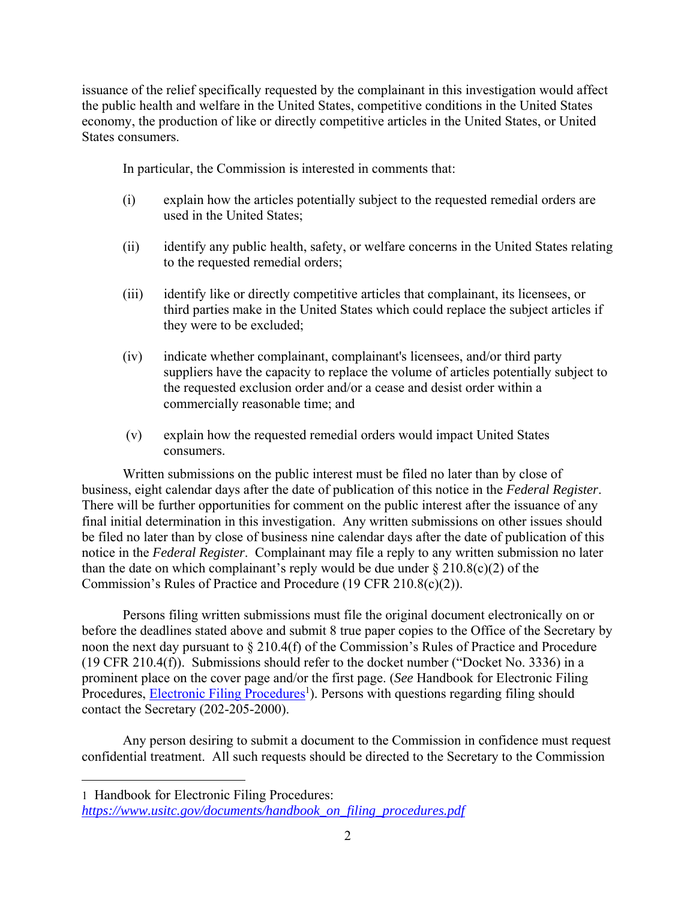issuance of the relief specifically requested by the complainant in this investigation would affect the public health and welfare in the United States, competitive conditions in the United States economy, the production of like or directly competitive articles in the United States, or United States consumers.

In particular, the Commission is interested in comments that:

- (i) explain how the articles potentially subject to the requested remedial orders are used in the United States;
- (ii) identify any public health, safety, or welfare concerns in the United States relating to the requested remedial orders;
- (iii) identify like or directly competitive articles that complainant, its licensees, or third parties make in the United States which could replace the subject articles if they were to be excluded;
- (iv) indicate whether complainant, complainant's licensees, and/or third party suppliers have the capacity to replace the volume of articles potentially subject to the requested exclusion order and/or a cease and desist order within a commercially reasonable time; and
- (v) explain how the requested remedial orders would impact United States consumers.

Written submissions on the public interest must be filed no later than by close of business, eight calendar days after the date of publication of this notice in the *Federal Register*. There will be further opportunities for comment on the public interest after the issuance of any final initial determination in this investigation. Any written submissions on other issues should be filed no later than by close of business nine calendar days after the date of publication of this notice in the *Federal Register*. Complainant may file a reply to any written submission no later than the date on which complainant's reply would be due under  $\S 210.8(c)(2)$  of the Commission's Rules of Practice and Procedure (19 CFR 210.8(c)(2)).

Persons filing written submissions must file the original document electronically on or before the deadlines stated above and submit 8 true paper copies to the Office of the Secretary by noon the next day pursuant to § 210.4(f) of the Commission's Rules of Practice and Procedure (19 CFR 210.4(f)). Submissions should refer to the docket number ("Docket No. 3336) in a prominent place on the cover page and/or the first page. (*See* Handbook for Electronic Filing Procedures, **Electronic Filing Procedures**<sup>1</sup>). Persons with questions regarding filing should contact the Secretary (202-205-2000).

Any person desiring to submit a document to the Commission in confidence must request confidential treatment. All such requests should be directed to the Secretary to the Commission

1 Handbook for Electronic Filing Procedures:

 $\overline{a}$ 

*https://www.usitc.gov/documents/handbook\_on\_filing\_procedures.pdf*